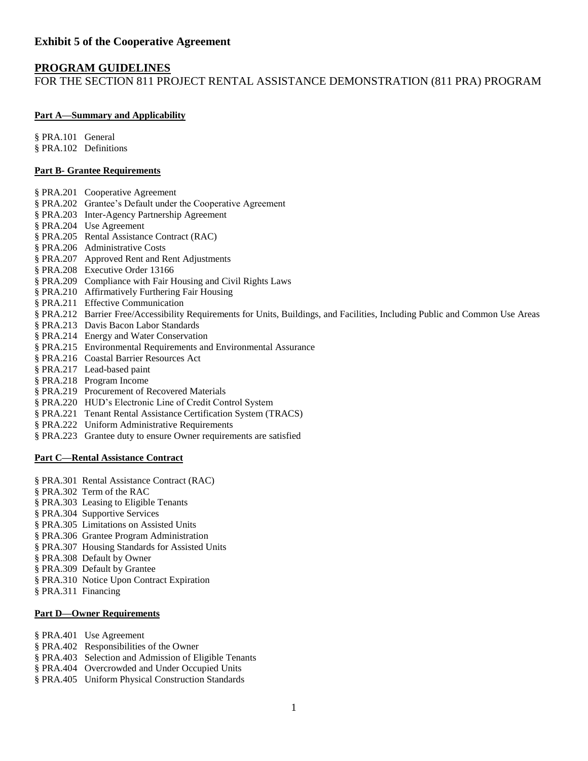#### **Exhibit 5 of the Cooperative Agreement**

#### **PROGRAM GUIDELINES**

FOR THE SECTION 811 PROJECT RENTAL ASSISTANCE DEMONSTRATION (811 PRA) PROGRAM

#### **[Part A—Summary and Applicability](http://ecfr.gpoaccess.gov/cgi/t/text/text-idx?c=ecfr&sid=df96d2e309c233840f20582727e09efb&rgn=div5&view=text&node=24:4.0.2.1.4&idno=24#24:4.0.2.1.4.1)**

§ PRA.101 General § PRA.102 Definitions

#### **Part B- Grantee Requirements**

- § PRA.201 Cooperative Agreement
- § PRA.202 Grantee's Default under the Cooperative Agreement
- § PRA.203 Inter-Agency Partnership Agreement
- § PRA.204 Use Agreement
- § PRA.205 Rental Assistance Contract (RAC)
- § PRA.206 Administrative Costs
- § PRA.207 Approved Rent and Rent Adjustments
- § PRA.208 Executive Order 13166
- § PRA.209 Compliance with Fair Housing and Civil Rights Laws
- § PRA.210 Affirmatively Furthering Fair Housing
- § PRA.211 Effective Communication
- § PRA.212 Barrier Free/Accessibility Requirements for Units, Buildings, and Facilities, Including Public and Common Use Areas
- § PRA.213 Davis Bacon Labor Standards
- § PRA.214 Energy and Water Conservation
- § PRA.215 Environmental Requirements and Environmental Assurance
- § PRA.216 Coastal Barrier Resources Act
- § PRA.217 Lead-based paint
- § PRA.218 Program Income
- § PRA.219 Procurement of Recovered Materials
- § PRA.220 HUD's Electronic Line of Credit Control System
- § PRA.221 Tenant Rental Assistance Certification System (TRACS)
- § PRA.222 Uniform Administrative Requirements
- § PRA.223 Grantee duty to ensure Owner requirements are satisfied

#### **[Part C—Rental Assistance Contract](http://ecfr.gpoaccess.gov/cgi/t/text/text-idx?c=ecfr&sid=df96d2e309c233840f20582727e09efb&rgn=div5&view=text&node=24:4.0.2.1.4&idno=24#24:4.0.2.1.4.4)**

- § PRA.301 Rental Assistance Contract (RAC)
- § PRA.302 Term of the RAC
- § PRA.303 Leasing to Eligible Tenants
- § PRA.304 Supportive Services
- § PRA.305 Limitations on Assisted Units
- § PRA.306 Grantee Program Administration
- § PRA.307 Housing Standards for Assisted Units
- § PRA.308 Default by Owner
- § PRA.309 Default by Grantee
- § PRA.310 Notice Upon Contract Expiration
- § PRA.311 Financing

#### **[Part D—Owner Requirements](http://ecfr.gpoaccess.gov/cgi/t/text/text-idx?c=ecfr&sid=df96d2e309c233840f20582727e09efb&rgn=div5&view=text&node=24:4.0.2.1.4&idno=24#24:4.0.2.1.4.5)**

§ PRA.401 Use Agreement

- § PRA.402 Responsibilities of the Owner
- § PRA.403 Selection and Admission of Eligible Tenants
- § PRA.404 Overcrowded and Under Occupied Units
- § PRA.405 Uniform Physical Construction Standards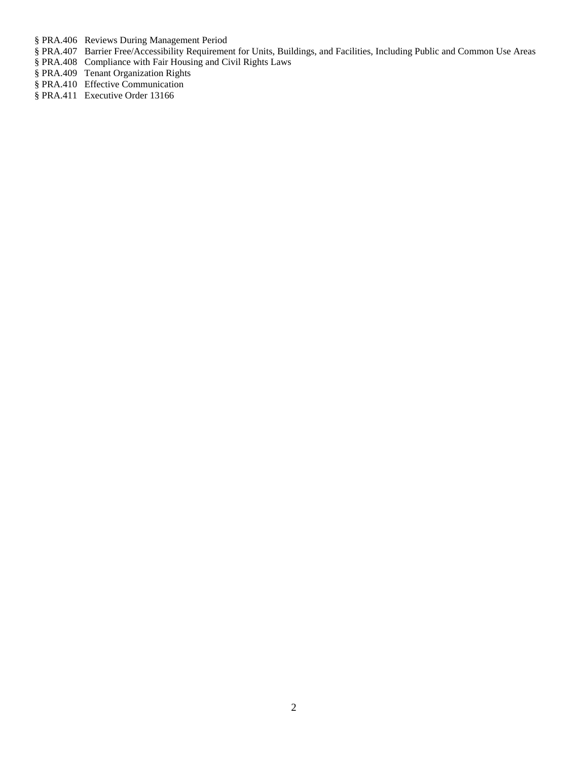§ [PRA.406 Reviews During Management Period](http://ecfr.gpoaccess.gov/cgi/t/text/text-idx?c=ecfr&sid=df96d2e309c233840f20582727e09efb&rgn=div5&view=text&node=24:4.0.2.1.4&idno=24#24:4.0.2.1.4.5.1.12)

- § PRA.407 Barrier Free/Accessibility Requirement for Units, Buildings, and Facilities, Including Public and Common Use Areas
- § PRA.408 Compliance with Fair Housing and Civil Rights Laws
- § PRA.409 Tenant Organization Rights
- § PRA.410 Effective Communication
- § PRA.411 Executive Order 13166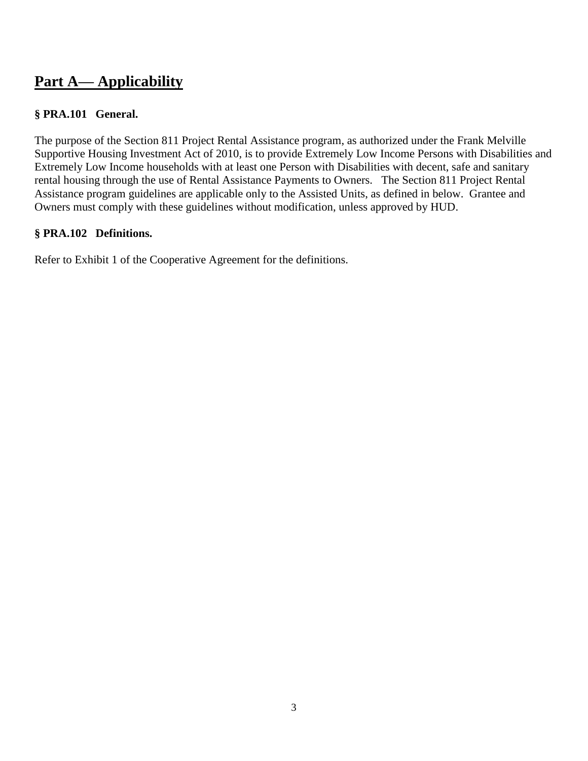# **Part A— Applicability**

# **§ PRA.101 General.**

The purpose of the Section 811 Project Rental Assistance program, as authorized under the Frank Melville Supportive Housing Investment Act of 2010, is to provide Extremely Low Income Persons with Disabilities and Extremely Low Income households with at least one Person with Disabilities with decent, safe and sanitary rental housing through the use of Rental Assistance Payments to Owners. The Section 811 Project Rental Assistance program guidelines are applicable only to the Assisted Units, as defined in below. Grantee and Owners must comply with these guidelines without modification, unless approved by HUD.

# **§ PRA.102 Definitions.**

Refer to Exhibit 1 of the Cooperative Agreement for the definitions.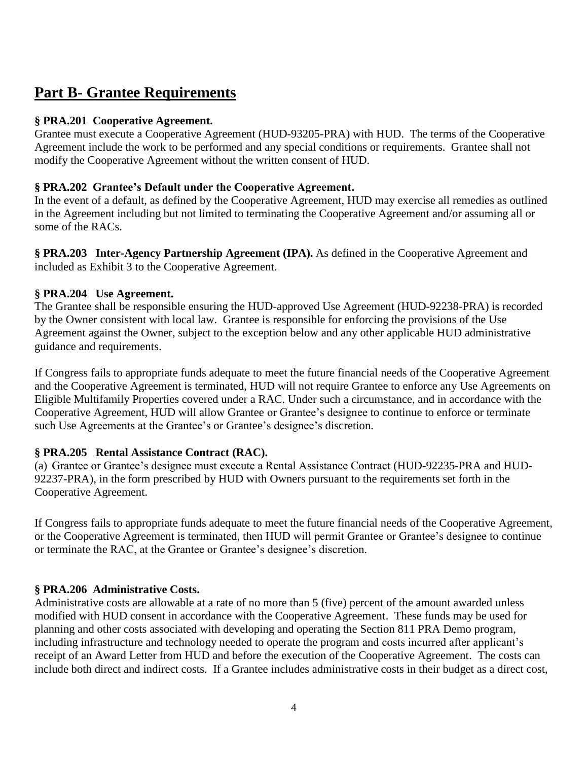# **Part B- Grantee Requirements**

#### **§ PRA.201 Cooperative Agreement.**

Grantee must execute a Cooperative Agreement (HUD-93205-PRA) with HUD. The terms of the Cooperative Agreement include the work to be performed and any special conditions or requirements. Grantee shall not modify the Cooperative Agreement without the written consent of HUD.

#### **§ PRA.202 Grantee's Default under the Cooperative Agreement.**

In the event of a default, as defined by the Cooperative Agreement, HUD may exercise all remedies as outlined in the Agreement including but not limited to terminating the Cooperative Agreement and/or assuming all or some of the RACs.

**§ PRA.203 Inter-Agency Partnership Agreement (IPA).** As defined in the Cooperative Agreement and included as Exhibit 3 to the Cooperative Agreement.

### **§ PRA.204 Use Agreement.**

The Grantee shall be responsible ensuring the HUD-approved Use Agreement (HUD-92238-PRA) is recorded by the Owner consistent with local law. Grantee is responsible for enforcing the provisions of the Use Agreement against the Owner, subject to the exception below and any other applicable HUD administrative guidance and requirements.

If Congress fails to appropriate funds adequate to meet the future financial needs of the Cooperative Agreement and the Cooperative Agreement is terminated, HUD will not require Grantee to enforce any Use Agreements on Eligible Multifamily Properties covered under a RAC. Under such a circumstance, and in accordance with the Cooperative Agreement, HUD will allow Grantee or Grantee's designee to continue to enforce or terminate such Use Agreements at the Grantee's or Grantee's designee's discretion.

# **§ PRA.205 Rental Assistance Contract (RAC).**

(a) Grantee or Grantee's designee must execute a Rental Assistance Contract (HUD-92235-PRA and HUD-92237-PRA), in the form prescribed by HUD with Owners pursuant to the requirements set forth in the Cooperative Agreement.

If Congress fails to appropriate funds adequate to meet the future financial needs of the Cooperative Agreement, or the Cooperative Agreement is terminated, then HUD will permit Grantee or Grantee's designee to continue or terminate the RAC, at the Grantee or Grantee's designee's discretion.

# **§ PRA.206 Administrative Costs.**

Administrative costs are allowable at a rate of no more than 5 (five) percent of the amount awarded unless modified with HUD consent in accordance with the Cooperative Agreement. These funds may be used for planning and other costs associated with developing and operating the Section 811 PRA Demo program, including infrastructure and technology needed to operate the program and costs incurred after applicant's receipt of an Award Letter from HUD and before the execution of the Cooperative Agreement. The costs can include both direct and indirect costs. If a Grantee includes administrative costs in their budget as a direct cost,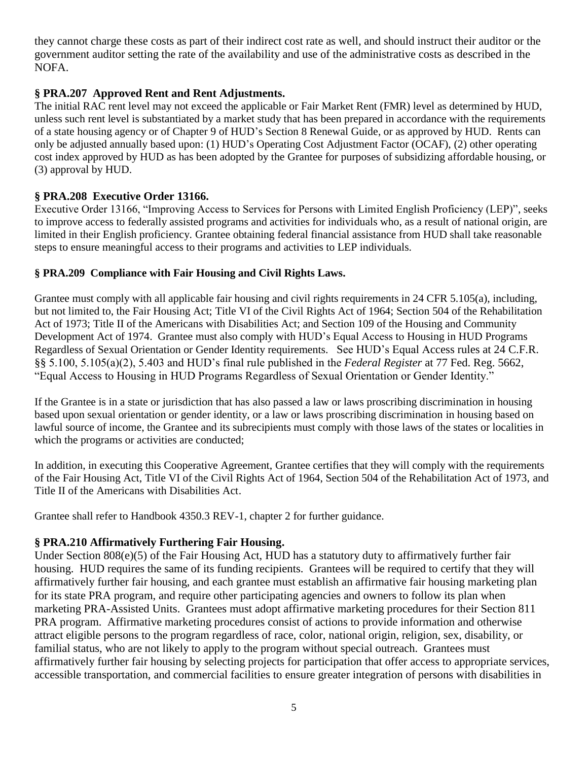they cannot charge these costs as part of their indirect cost rate as well, and should instruct their auditor or the government auditor setting the rate of the availability and use of the administrative costs as described in the NOFA.

### **§ PRA.207 Approved Rent and Rent Adjustments.**

The initial RAC rent level may not exceed the applicable or Fair Market Rent (FMR) level as determined by HUD, unless such rent level is substantiated by a market study that has been prepared in accordance with the requirements of a state housing agency or of Chapter 9 of HUD's Section 8 Renewal Guide, or as approved by HUD. Rents can only be adjusted annually based upon: (1) HUD's Operating Cost Adjustment Factor (OCAF), (2) other operating cost index approved by HUD as has been adopted by the Grantee for purposes of subsidizing affordable housing, or (3) approval by HUD.

### **§ PRA.208 Executive Order 13166.**

Executive Order 13166, "Improving Access to Services for Persons with Limited English Proficiency (LEP)", seeks to improve access to federally assisted programs and activities for individuals who, as a result of national origin, are limited in their English proficiency. Grantee obtaining federal financial assistance from HUD shall take reasonable steps to ensure meaningful access to their programs and activities to LEP individuals.

#### **§ PRA.209 Compliance with Fair Housing and Civil Rights Laws.**

Grantee must comply with all applicable fair housing and civil rights requirements in 24 CFR 5.105(a), including, but not limited to, the Fair Housing Act; Title VI of the Civil Rights Act of 1964; Section 504 of the Rehabilitation Act of 1973; Title II of the Americans with Disabilities Act; and Section 109 of the Housing and Community Development Act of 1974. Grantee must also comply with HUD's Equal Access to Housing in HUD Programs Regardless of Sexual Orientation or Gender Identity requirements. See HUD's Equal Access rules at 24 C.F.R. §§ 5.100, 5.105(a)(2), 5.403 and HUD's final rule published in the *Federal Register* at 77 Fed. Reg. 5662, "Equal Access to Housing in HUD Programs Regardless of Sexual Orientation or Gender Identity."

If the Grantee is in a state or jurisdiction that has also passed a law or laws proscribing discrimination in housing based upon sexual orientation or gender identity, or a law or laws proscribing discrimination in housing based on lawful source of income, the Grantee and its subrecipients must comply with those laws of the states or localities in which the programs or activities are conducted;

In addition, in executing this Cooperative Agreement, Grantee certifies that they will comply with the requirements of the Fair Housing Act, Title VI of the Civil Rights Act of 1964, Section 504 of the Rehabilitation Act of 1973, and Title II of the Americans with Disabilities Act.

Grantee shall refer to Handbook 4350.3 REV-1, chapter 2 for further guidance.

#### **§ PRA.210 Affirmatively Furthering Fair Housing.**

Under Section 808(e)(5) of the Fair Housing Act, HUD has a statutory duty to affirmatively further fair housing. HUD requires the same of its funding recipients. Grantees will be required to certify that they will affirmatively further fair housing, and each grantee must establish an affirmative fair housing marketing plan for its state PRA program, and require other participating agencies and owners to follow its plan when marketing PRA-Assisted Units. Grantees must adopt affirmative marketing procedures for their Section 811 PRA program. Affirmative marketing procedures consist of actions to provide information and otherwise attract eligible persons to the program regardless of race, color, national origin, religion, sex, disability, or familial status, who are not likely to apply to the program without special outreach. Grantees must affirmatively further fair housing by selecting projects for participation that offer access to appropriate services, accessible transportation, and commercial facilities to ensure greater integration of persons with disabilities in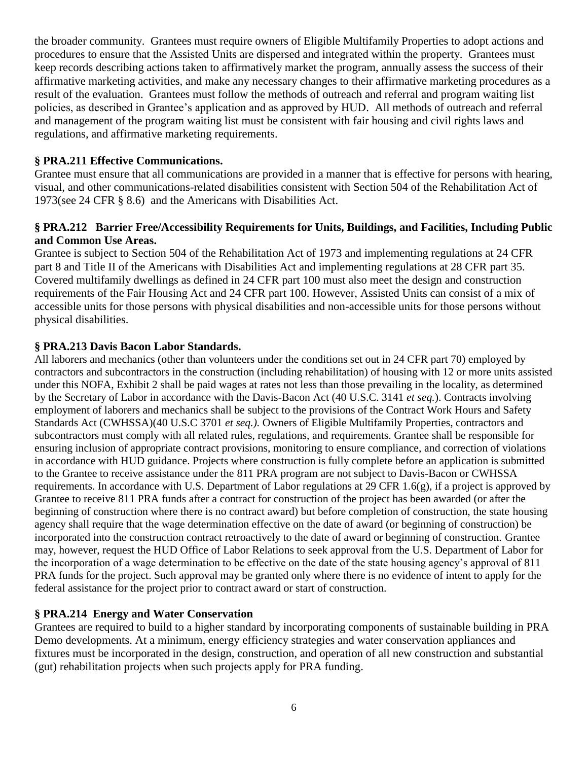the broader community. Grantees must require owners of Eligible Multifamily Properties to adopt actions and procedures to ensure that the Assisted Units are dispersed and integrated within the property. Grantees must keep records describing actions taken to affirmatively market the program, annually assess the success of their affirmative marketing activities, and make any necessary changes to their affirmative marketing procedures as a result of the evaluation. Grantees must follow the methods of outreach and referral and program waiting list policies, as described in Grantee's application and as approved by HUD. All methods of outreach and referral and management of the program waiting list must be consistent with fair housing and civil rights laws and regulations, and affirmative marketing requirements.

#### **§ PRA.211 Effective Communications.**

Grantee must ensure that all communications are provided in a manner that is effective for persons with hearing, visual, and other communications-related disabilities consistent with Section 504 of the Rehabilitation Act of 1973(see 24 CFR § 8.6) and the Americans with Disabilities Act.

#### **§ PRA.212 Barrier Free/Accessibility Requirements for Units, Buildings, and Facilities, Including Public and Common Use Areas.**

Grantee is subject to Section 504 of the Rehabilitation Act of 1973 and implementing regulations at 24 CFR part 8 and Title II of the Americans with Disabilities Act and implementing regulations at 28 CFR part 35. Covered multifamily dwellings as defined in 24 CFR part 100 must also meet the design and construction requirements of the Fair Housing Act and 24 CFR part 100. However, Assisted Units can consist of a mix of accessible units for those persons with physical disabilities and non-accessible units for those persons without physical disabilities.

#### **§ PRA.213 Davis Bacon Labor Standards.**

All laborers and mechanics (other than volunteers under the conditions set out in 24 CFR part 70) employed by contractors and subcontractors in the construction (including rehabilitation) of housing with 12 or more units assisted under this NOFA, Exhibit 2 shall be paid wages at rates not less than those prevailing in the locality, as determined by the Secretary of Labor in accordance with the Davis-Bacon Act (40 U.S.C. 3141 *et seq.*). Contracts involving employment of laborers and mechanics shall be subject to the provisions of the Contract Work Hours and Safety Standards Act (CWHSSA)(40 U.S.C 3701 *et seq.).* Owners of Eligible Multifamily Properties, contractors and subcontractors must comply with all related rules, regulations, and requirements. Grantee shall be responsible for ensuring inclusion of appropriate contract provisions, monitoring to ensure compliance, and correction of violations in accordance with HUD guidance. Projects where construction is fully complete before an application is submitted to the Grantee to receive assistance under the 811 PRA program are not subject to Davis-Bacon or CWHSSA requirements. In accordance with U.S. Department of Labor regulations at 29 CFR 1.6(g), if a project is approved by Grantee to receive 811 PRA funds after a contract for construction of the project has been awarded (or after the beginning of construction where there is no contract award) but before completion of construction, the state housing agency shall require that the wage determination effective on the date of award (or beginning of construction) be incorporated into the construction contract retroactively to the date of award or beginning of construction. Grantee may, however, request the HUD Office of Labor Relations to seek approval from the U.S. Department of Labor for the incorporation of a wage determination to be effective on the date of the state housing agency's approval of 811 PRA funds for the project. Such approval may be granted only where there is no evidence of intent to apply for the federal assistance for the project prior to contract award or start of construction.

#### **§ PRA.214 Energy and Water Conservation**

Grantees are required to build to a higher standard by incorporating components of sustainable building in PRA Demo developments. At a minimum, energy efficiency strategies and water conservation appliances and fixtures must be incorporated in the design, construction, and operation of all new construction and substantial (gut) rehabilitation projects when such projects apply for PRA funding.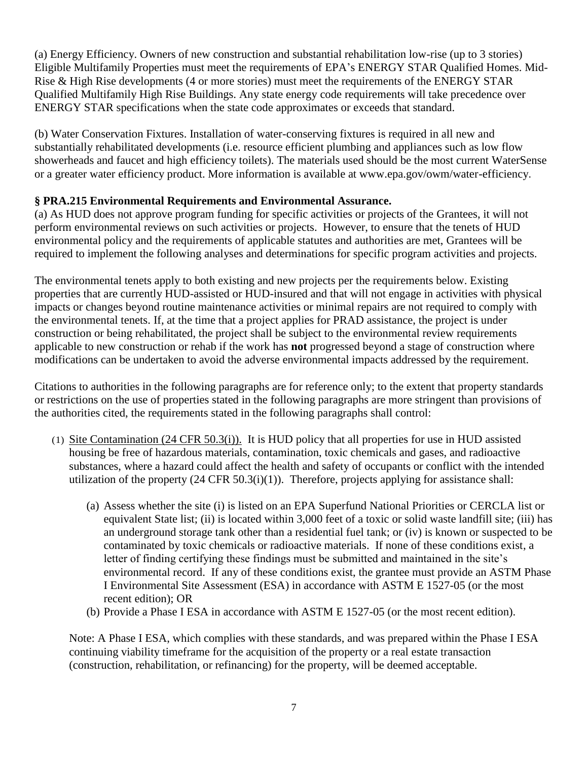(a) Energy Efficiency. Owners of new construction and substantial rehabilitation low-rise (up to 3 stories) Eligible Multifamily Properties must meet the requirements of EPA's ENERGY STAR Qualified Homes. Mid-Rise & High Rise developments (4 or more stories) must meet the requirements of the ENERGY STAR Qualified Multifamily High Rise Buildings. Any state energy code requirements will take precedence over ENERGY STAR specifications when the state code approximates or exceeds that standard.

(b) Water Conservation Fixtures. Installation of water-conserving fixtures is required in all new and substantially rehabilitated developments (i.e. resource efficient plumbing and appliances such as low flow showerheads and faucet and high efficiency toilets). The materials used should be the most current WaterSense or a greater water efficiency product. More information is available at www.epa.gov/owm/water-efficiency.

#### **§ PRA.215 Environmental Requirements and Environmental Assurance.**

(a) As HUD does not approve program funding for specific activities or projects of the Grantees, it will not perform environmental reviews on such activities or projects. However, to ensure that the tenets of HUD environmental policy and the requirements of applicable statutes and authorities are met, Grantees will be required to implement the following analyses and determinations for specific program activities and projects.

The environmental tenets apply to both existing and new projects per the requirements below. Existing properties that are currently HUD-assisted or HUD-insured and that will not engage in activities with physical impacts or changes beyond routine maintenance activities or minimal repairs are not required to comply with the environmental tenets. If, at the time that a project applies for PRAD assistance, the project is under construction or being rehabilitated, the project shall be subject to the environmental review requirements applicable to new construction or rehab if the work has **not** progressed beyond a stage of construction where modifications can be undertaken to avoid the adverse environmental impacts addressed by the requirement.

Citations to authorities in the following paragraphs are for reference only; to the extent that property standards or restrictions on the use of properties stated in the following paragraphs are more stringent than provisions of the authorities cited, the requirements stated in the following paragraphs shall control:

- (1) Site Contamination (24 CFR 50.3(i)). It is HUD policy that all properties for use in HUD assisted housing be free of hazardous materials, contamination, toxic chemicals and gases, and radioactive substances, where a hazard could affect the health and safety of occupants or conflict with the intended utilization of the property  $(24 \text{ CFR } 50.3(i)(1))$ . Therefore, projects applying for assistance shall:
	- (a) Assess whether the site (i) is listed on an EPA Superfund National Priorities or CERCLA list or equivalent State list; (ii) is located within 3,000 feet of a toxic or solid waste landfill site; (iii) has an underground storage tank other than a residential fuel tank; or (iv) is known or suspected to be contaminated by toxic chemicals or radioactive materials. If none of these conditions exist, a letter of finding certifying these findings must be submitted and maintained in the site's environmental record. If any of these conditions exist, the grantee must provide an ASTM Phase I Environmental Site Assessment (ESA) in accordance with ASTM E 1527-05 (or the most recent edition); OR
	- (b) Provide a Phase I ESA in accordance with ASTM E 1527-05 (or the most recent edition).

Note: A Phase I ESA, which complies with these standards, and was prepared within the Phase I ESA continuing viability timeframe for the acquisition of the property or a real estate transaction (construction, rehabilitation, or refinancing) for the property, will be deemed acceptable.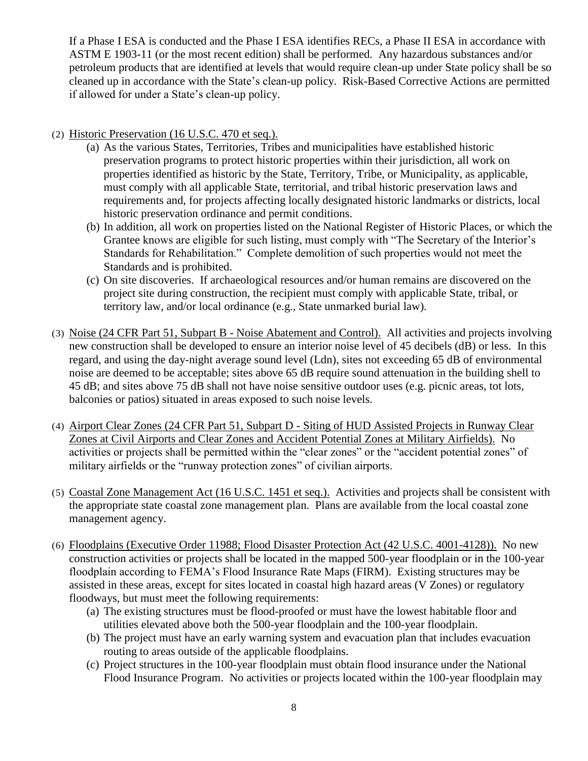If a Phase I ESA is conducted and the Phase I ESA identifies RECs, a Phase II ESA in accordance with ASTM E 1903-11 (or the most recent edition) shall be performed. Any hazardous substances and/or petroleum products that are identified at levels that would require clean-up under State policy shall be so cleaned up in accordance with the State's clean-up policy. Risk-Based Corrective Actions are permitted if allowed for under a State's clean-up policy.

#### (2) Historic Preservation (16 U.S.C. 470 et seq.).

- (a) As the various States, Territories, Tribes and municipalities have established historic preservation programs to protect historic properties within their jurisdiction, all work on properties identified as historic by the State, Territory, Tribe, or Municipality, as applicable, must comply with all applicable State, territorial, and tribal historic preservation laws and requirements and, for projects affecting locally designated historic landmarks or districts, local historic preservation ordinance and permit conditions.
- (b) In addition, all work on properties listed on the National Register of Historic Places, or which the Grantee knows are eligible for such listing, must comply with "The Secretary of the Interior's Standards for Rehabilitation." Complete demolition of such properties would not meet the Standards and is prohibited.
- (c) On site discoveries. If archaeological resources and/or human remains are discovered on the project site during construction, the recipient must comply with applicable State, tribal, or territory law, and/or local ordinance (e.g., State unmarked burial law).
- (3) Noise (24 CFR Part 51, Subpart B Noise Abatement and Control). All activities and projects involving new construction shall be developed to ensure an interior noise level of 45 decibels (dB) or less. In this regard, and using the day-night average sound level (Ldn), sites not exceeding 65 dB of environmental noise are deemed to be acceptable; sites above 65 dB require sound attenuation in the building shell to 45 dB; and sites above 75 dB shall not have noise sensitive outdoor uses (e.g. picnic areas, tot lots, balconies or patios) situated in areas exposed to such noise levels.
- (4) Airport Clear Zones (24 CFR Part 51, Subpart D Siting of HUD Assisted Projects in Runway Clear Zones at Civil Airports and Clear Zones and Accident Potential Zones at Military Airfields). No activities or projects shall be permitted within the "clear zones" or the "accident potential zones" of military airfields or the "runway protection zones" of civilian airports.
- (5) Coastal Zone Management Act (16 U.S.C. 1451 et seq.). Activities and projects shall be consistent with the appropriate state coastal zone management plan. Plans are available from the local coastal zone management agency.
- (6) Floodplains (Executive Order 11988; Flood Disaster Protection Act (42 U.S.C. 4001-4128)). No new construction activities or projects shall be located in the mapped 500-year floodplain or in the 100-year floodplain according to FEMA's Flood Insurance Rate Maps (FIRM). Existing structures may be assisted in these areas, except for sites located in coastal high hazard areas (V Zones) or regulatory floodways, but must meet the following requirements:
	- (a) The existing structures must be flood-proofed or must have the lowest habitable floor and utilities elevated above both the 500-year floodplain and the 100-year floodplain.
	- (b) The project must have an early warning system and evacuation plan that includes evacuation routing to areas outside of the applicable floodplains.
	- (c) Project structures in the 100-year floodplain must obtain flood insurance under the National Flood Insurance Program. No activities or projects located within the 100-year floodplain may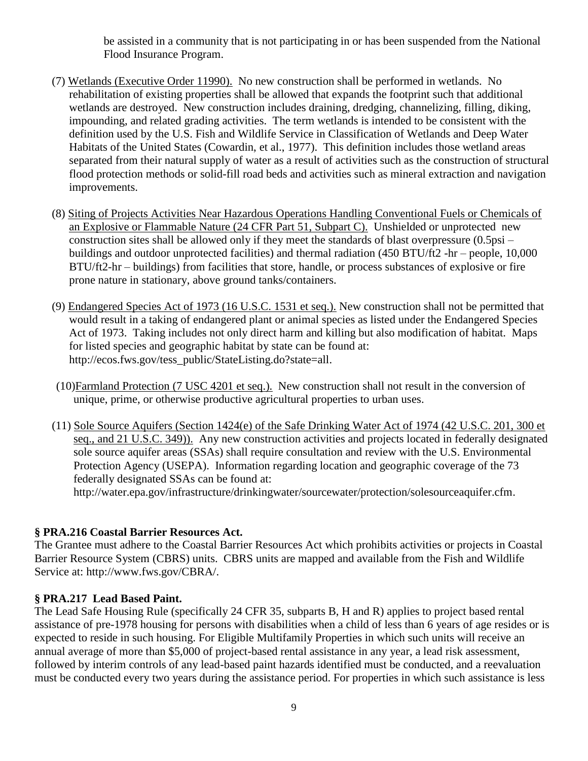be assisted in a community that is not participating in or has been suspended from the National Flood Insurance Program.

- (7) Wetlands (Executive Order 11990). No new construction shall be performed in wetlands. No rehabilitation of existing properties shall be allowed that expands the footprint such that additional wetlands are destroyed. New construction includes draining, dredging, channelizing, filling, diking, impounding, and related grading activities. The term wetlands is intended to be consistent with the definition used by the U.S. Fish and Wildlife Service in Classification of Wetlands and Deep Water Habitats of the United States (Cowardin, et al., 1977). This definition includes those wetland areas separated from their natural supply of water as a result of activities such as the construction of structural flood protection methods or solid-fill road beds and activities such as mineral extraction and navigation improvements.
- (8) Siting of Projects Activities Near Hazardous Operations Handling Conventional Fuels or Chemicals of an Explosive or Flammable Nature (24 CFR Part 51, Subpart C). Unshielded or unprotected new construction sites shall be allowed only if they meet the standards of blast overpressure (0.5psi – buildings and outdoor unprotected facilities) and thermal radiation (450 BTU/ft2 -hr – people, 10,000 BTU/ft2-hr – buildings) from facilities that store, handle, or process substances of explosive or fire prone nature in stationary, above ground tanks/containers.
- (9) Endangered Species Act of 1973 (16 U.S.C. 1531 et seq.). New construction shall not be permitted that would result in a taking of endangered plant or animal species as listed under the Endangered Species Act of 1973. Taking includes not only direct harm and killing but also modification of habitat. Maps for listed species and geographic habitat by state can be found at: [http://ecos.fws.gov/tess\\_public/StateListing.do?state=all.](http://ecos.fws.gov/tess_public/StateListing.do?state=all)
- (10)Farmland Protection (7 USC 4201 et seq.). New construction shall not result in the conversion of unique, prime, or otherwise productive agricultural properties to urban uses.
- (11) Sole Source Aquifers (Section 1424(e) of the Safe Drinking Water Act of 1974 (42 U.S.C. 201, 300 et seq., and 21 U.S.C. 349)). Any new construction activities and projects located in federally designated sole source aquifer areas (SSAs) shall require consultation and review with the U.S. Environmental Protection Agency (USEPA). Information regarding location and geographic coverage of the 73 federally designated SSAs can be found at:

[http://water.epa.gov/infrastructure/drinkingwater/sourcewater/protection/solesourceaquifer.cfm.](http://water.epa.gov/infrastructure/drinkingwater/sourcewater/protection/solesourceaquifer.cfm)

#### **§ PRA.216 Coastal Barrier Resources Act.**

The Grantee must adhere to the Coastal Barrier Resources Act which prohibits activities or projects in Coastal Barrier Resource System (CBRS) units. CBRS units are mapped and available from the Fish and Wildlife Service at: [http://www.fws.gov/CBRA/.](http://www.fws.gov/CBRA/)

#### **§ PRA.217 Lead Based Paint.**

The Lead Safe Housing Rule (specifically 24 CFR 35, subparts B, H and R) applies to project based rental assistance of pre-1978 housing for persons with disabilities when a child of less than 6 years of age resides or is expected to reside in such housing. For Eligible Multifamily Properties in which such units will receive an annual average of more than \$5,000 of project-based rental assistance in any year, a lead risk assessment, followed by interim controls of any lead-based paint hazards identified must be conducted, and a reevaluation must be conducted every two years during the assistance period. For properties in which such assistance is less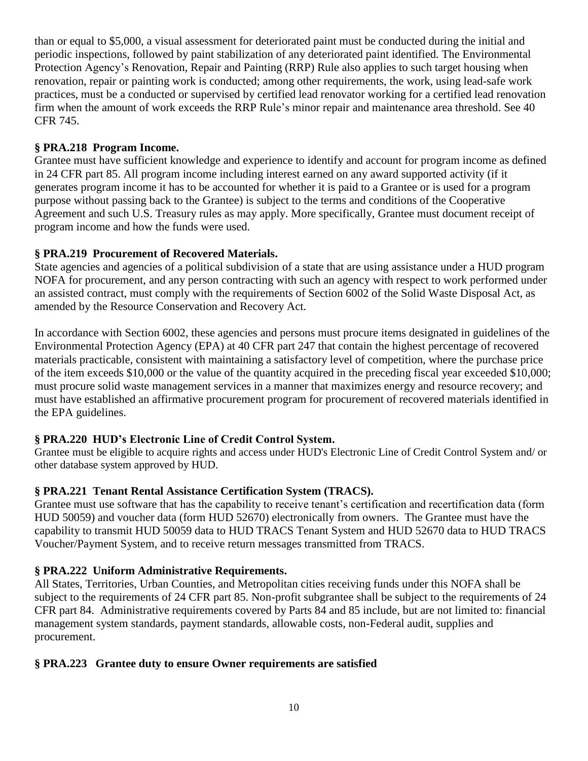than or equal to \$5,000, a visual assessment for deteriorated paint must be conducted during the initial and periodic inspections, followed by paint stabilization of any deteriorated paint identified. The Environmental Protection Agency's Renovation, Repair and Painting (RRP) Rule also applies to such target housing when renovation, repair or painting work is conducted; among other requirements, the work, using lead-safe work practices, must be a conducted or supervised by certified lead renovator working for a certified lead renovation firm when the amount of work exceeds the RRP Rule's minor repair and maintenance area threshold. See 40 CFR 745.

### **§ PRA.218 Program Income.**

Grantee must have sufficient knowledge and experience to identify and account for program income as defined in 24 CFR part 85. All program income including interest earned on any award supported activity (if it generates program income it has to be accounted for whether it is paid to a Grantee or is used for a program purpose without passing back to the Grantee) is subject to the terms and conditions of the Cooperative Agreement and such U.S. Treasury rules as may apply. More specifically, Grantee must document receipt of program income and how the funds were used.

### **§ PRA.219 Procurement of Recovered Materials.**

State agencies and agencies of a political subdivision of a state that are using assistance under a HUD program NOFA for procurement, and any person contracting with such an agency with respect to work performed under an assisted contract, must comply with the requirements of Section 6002 of the Solid Waste Disposal Act, as amended by the Resource Conservation and Recovery Act.

In accordance with Section 6002, these agencies and persons must procure items designated in guidelines of the Environmental Protection Agency (EPA) at 40 CFR part 247 that contain the highest percentage of recovered materials practicable, consistent with maintaining a satisfactory level of competition, where the purchase price of the item exceeds \$10,000 or the value of the quantity acquired in the preceding fiscal year exceeded \$10,000; must procure solid waste management services in a manner that maximizes energy and resource recovery; and must have established an affirmative procurement program for procurement of recovered materials identified in the EPA guidelines.

# **§ PRA.220 HUD's Electronic Line of Credit Control System.**

Grantee must be eligible to acquire rights and access under HUD's Electronic Line of Credit Control System and/ or other database system approved by HUD.

# **§ PRA.221 Tenant Rental Assistance Certification System (TRACS).**

Grantee must use software that has the capability to receive tenant's certification and recertification data (form HUD 50059) and voucher data (form HUD 52670) electronically from owners. The Grantee must have the capability to transmit HUD 50059 data to HUD TRACS Tenant System and HUD 52670 data to HUD TRACS Voucher/Payment System, and to receive return messages transmitted from TRACS.

#### **§ PRA.222 Uniform Administrative Requirements.**

All States, Territories, Urban Counties, and Metropolitan cities receiving funds under this NOFA shall be subject to the requirements of 24 CFR part 85. Non-profit subgrantee shall be subject to the requirements of 24 CFR part 84. Administrative requirements covered by Parts 84 and 85 include, but are not limited to: financial management system standards, payment standards, allowable costs, non-Federal audit, supplies and procurement.

#### **§ PRA.223 Grantee duty to ensure Owner requirements are satisfied**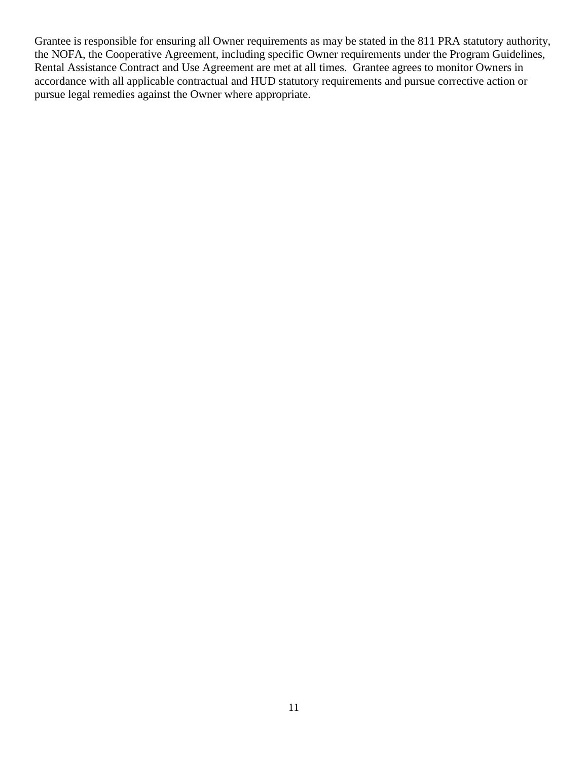Grantee is responsible for ensuring all Owner requirements as may be stated in the 811 PRA statutory authority, the NOFA, the Cooperative Agreement, including specific Owner requirements under the Program Guidelines, Rental Assistance Contract and Use Agreement are met at all times. Grantee agrees to monitor Owners in accordance with all applicable contractual and HUD statutory requirements and pursue corrective action or pursue legal remedies against the Owner where appropriate.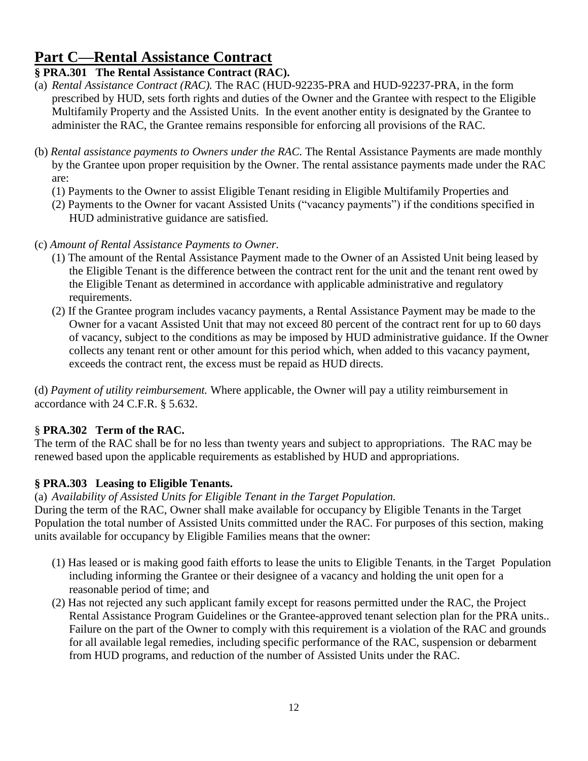# **Part C—Rental Assistance Contract**

# **§ PRA.301 The Rental Assistance Contract (RAC).**

- (a) *Rental Assistance Contract (RAC).* The RAC (HUD-92235-PRA and HUD-92237-PRA, in the form prescribed by HUD, sets forth rights and duties of the Owner and the Grantee with respect to the Eligible Multifamily Property and the Assisted Units. In the event another entity is designated by the Grantee to administer the RAC, the Grantee remains responsible for enforcing all provisions of the RAC.
- (b) *Rental assistance payments to Owners under the RAC.* The Rental Assistance Payments are made monthly by the Grantee upon proper requisition by the Owner. The rental assistance payments made under the RAC are:
	- (1) Payments to the Owner to assist Eligible Tenant residing in Eligible Multifamily Properties and
	- (2) Payments to the Owner for vacant Assisted Units ("vacancy payments") if the conditions specified in HUD administrative guidance are satisfied.
- (c) *Amount of Rental Assistance Payments to Owner.* 
	- (1) The amount of the Rental Assistance Payment made to the Owner of an Assisted Unit being leased by the Eligible Tenant is the difference between the contract rent for the unit and the tenant rent owed by the Eligible Tenant as determined in accordance with applicable administrative and regulatory requirements.
	- (2) If the Grantee program includes vacancy payments, a Rental Assistance Payment may be made to the Owner for a vacant Assisted Unit that may not exceed 80 percent of the contract rent for up to 60 days of vacancy, subject to the conditions as may be imposed by HUD administrative guidance. If the Owner collects any tenant rent or other amount for this period which, when added to this vacancy payment, exceeds the contract rent, the excess must be repaid as HUD directs.

(d) *Payment of utility reimbursement.* Where applicable, the Owner will pay a utility reimbursement in accordance with 24 C.F.R. § 5.632.

# § **PRA.302 Term of the RAC.**

The term of the RAC shall be for no less than twenty years and subject to appropriations. The RAC may be renewed based upon the applicable requirements as established by HUD and appropriations.

# **§ PRA.303 Leasing to Eligible Tenants.**

(a) *Availability of Assisted Units for Eligible Tenant in the Target Population.*

During the term of the RAC, Owner shall make available for occupancy by Eligible Tenants in the Target Population the total number of Assisted Units committed under the RAC. For purposes of this section, making units available for occupancy by Eligible Families means that the owner:

- (1) Has leased or is making good faith efforts to lease the units to Eligible Tenants, in the Target Population including informing the Grantee or their designee of a vacancy and holding the unit open for a reasonable period of time; and
- (2) Has not rejected any such applicant family except for reasons permitted under the RAC, the Project Rental Assistance Program Guidelines or the Grantee-approved tenant selection plan for the PRA units.. Failure on the part of the Owner to comply with this requirement is a violation of the RAC and grounds for all available legal remedies, including specific performance of the RAC, suspension or debarment from HUD programs, and reduction of the number of Assisted Units under the RAC.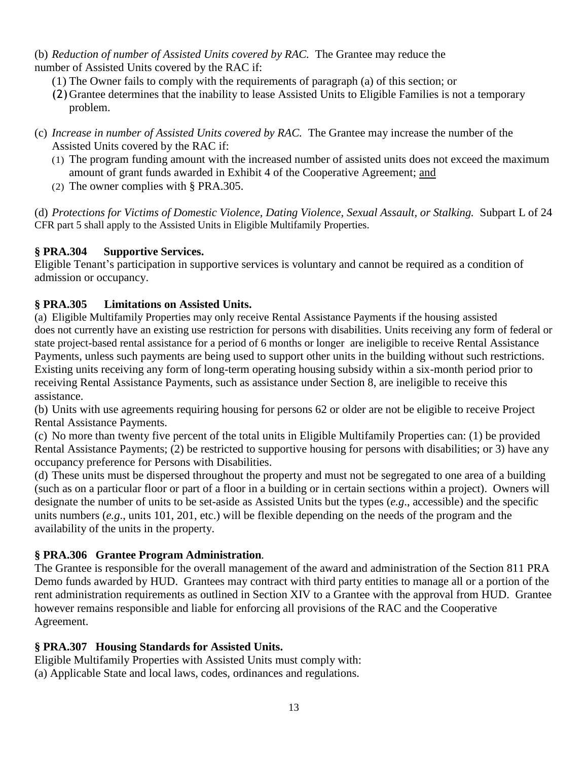(b) *Reduction of number of Assisted Units covered by RAC.* The Grantee may reduce the number of Assisted Units covered by the RAC if:

- (1) The Owner fails to comply with the requirements of paragraph (a) of this section; or
- (2)Grantee determines that the inability to lease Assisted Units to Eligible Families is not a temporary problem.
- (c) *Increase in number of Assisted Units covered by RAC.* The Grantee may increase the number of the Assisted Units covered by the RAC if:
	- (1) The program funding amount with the increased number of assisted units does not exceed the maximum amount of grant funds awarded in Exhibit 4 of the Cooperative Agreement; and
	- (2) The owner complies with § PRA.305.

(d) *Protections for Victims of Domestic Violence, Dating Violence, Sexual Assault, or Stalking.* Subpart L of 24 CFR part 5 shall apply to the Assisted Units in Eligible Multifamily Properties.

### **§ PRA.304 Supportive Services.**

Eligible Tenant's participation in supportive services is voluntary and cannot be required as a condition of admission or occupancy.

### **§ PRA.305 Limitations on Assisted Units.**

(a) Eligible Multifamily Properties may only receive Rental Assistance Payments if the housing assisted does not currently have an existing use restriction for persons with disabilities. Units receiving any form of federal or state project-based rental assistance for a period of 6 months or longer are ineligible to receive Rental Assistance Payments, unless such payments are being used to support other units in the building without such restrictions. Existing units receiving any form of long-term operating housing subsidy within a six-month period prior to receiving Rental Assistance Payments, such as assistance under Section 8, are ineligible to receive this assistance.

(b) Units with use agreements requiring housing for persons 62 or older are not be eligible to receive Project Rental Assistance Payments.

(c) No more than twenty five percent of the total units in Eligible Multifamily Properties can: (1) be provided Rental Assistance Payments; (2) be restricted to supportive housing for persons with disabilities; or 3) have any occupancy preference for Persons with Disabilities.

(d) These units must be dispersed throughout the property and must not be segregated to one area of a building (such as on a particular floor or part of a floor in a building or in certain sections within a project). Owners will designate the number of units to be set-aside as Assisted Units but the types (*e.g*., accessible) and the specific units numbers (*e.g*., units 101, 201, etc.) will be flexible depending on the needs of the program and the availability of the units in the property.

# **§ PRA.306 Grantee Program Administration***.*

The Grantee is responsible for the overall management of the award and administration of the Section 811 PRA Demo funds awarded by HUD. Grantees may contract with third party entities to manage all or a portion of the rent administration requirements as outlined in Section XIV to a Grantee with the approval from HUD. Grantee however remains responsible and liable for enforcing all provisions of the RAC and the Cooperative Agreement.

# **§ PRA.307 Housing Standards for Assisted Units.**

Eligible Multifamily Properties with Assisted Units must comply with:

(a) Applicable State and local laws, codes, ordinances and regulations.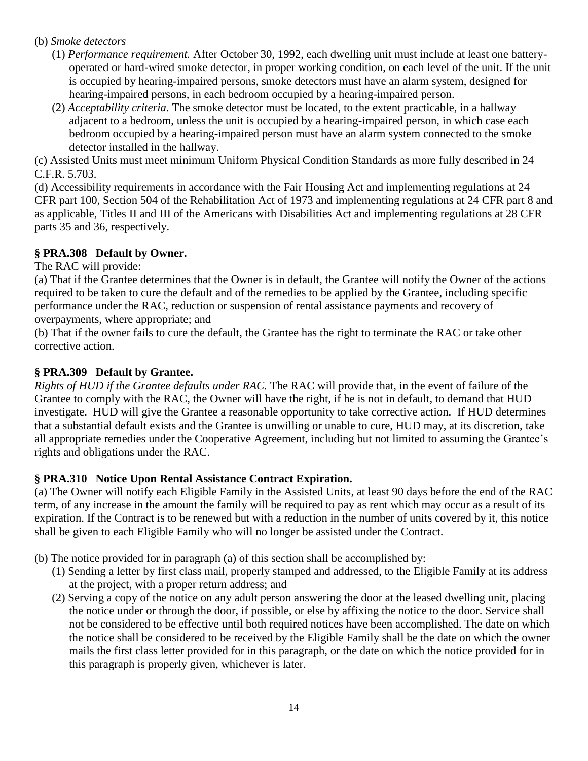#### (b) *Smoke detectors* —

- (1) *Performance requirement.* After October 30, 1992, each dwelling unit must include at least one batteryoperated or hard-wired smoke detector, in proper working condition, on each level of the unit. If the unit is occupied by hearing-impaired persons, smoke detectors must have an alarm system, designed for hearing-impaired persons, in each bedroom occupied by a hearing-impaired person.
- (2) *Acceptability criteria.* The smoke detector must be located, to the extent practicable, in a hallway adjacent to a bedroom, unless the unit is occupied by a hearing-impaired person, in which case each bedroom occupied by a hearing-impaired person must have an alarm system connected to the smoke detector installed in the hallway.

(c) Assisted Units must meet minimum Uniform Physical Condition Standards as more fully described in 24 C.F.R. 5.703.

(d) Accessibility requirements in accordance with the Fair Housing Act and implementing regulations at 24 CFR part 100, Section 504 of the Rehabilitation Act of 1973 and implementing regulations at 24 CFR part 8 and as applicable, Titles II and III of the Americans with Disabilities Act and implementing regulations at 28 CFR parts 35 and 36, respectively.

### **§ PRA.308 Default by Owner.**

The RAC will provide:

(a) That if the Grantee determines that the Owner is in default, the Grantee will notify the Owner of the actions required to be taken to cure the default and of the remedies to be applied by the Grantee, including specific performance under the RAC, reduction or suspension of rental assistance payments and recovery of overpayments, where appropriate; and

(b) That if the owner fails to cure the default, the Grantee has the right to terminate the RAC or take other corrective action.

# **§ PRA.309 Default by Grantee.**

*Rights of HUD if the Grantee defaults under RAC.* The RAC will provide that, in the event of failure of the Grantee to comply with the RAC, the Owner will have the right, if he is not in default, to demand that HUD investigate. HUD will give the Grantee a reasonable opportunity to take corrective action. If HUD determines that a substantial default exists and the Grantee is unwilling or unable to cure, HUD may, at its discretion, take all appropriate remedies under the Cooperative Agreement, including but not limited to assuming the Grantee's rights and obligations under the RAC.

# **§ PRA.310 Notice Upon Rental Assistance Contract Expiration.**

(a) The Owner will notify each Eligible Family in the Assisted Units, at least 90 days before the end of the RAC term, of any increase in the amount the family will be required to pay as rent which may occur as a result of its expiration. If the Contract is to be renewed but with a reduction in the number of units covered by it, this notice shall be given to each Eligible Family who will no longer be assisted under the Contract.

- (b) The notice provided for in paragraph (a) of this section shall be accomplished by:
	- (1) Sending a letter by first class mail, properly stamped and addressed, to the Eligible Family at its address at the project, with a proper return address; and
	- (2) Serving a copy of the notice on any adult person answering the door at the leased dwelling unit, placing the notice under or through the door, if possible, or else by affixing the notice to the door. Service shall not be considered to be effective until both required notices have been accomplished. The date on which the notice shall be considered to be received by the Eligible Family shall be the date on which the owner mails the first class letter provided for in this paragraph, or the date on which the notice provided for in this paragraph is properly given, whichever is later.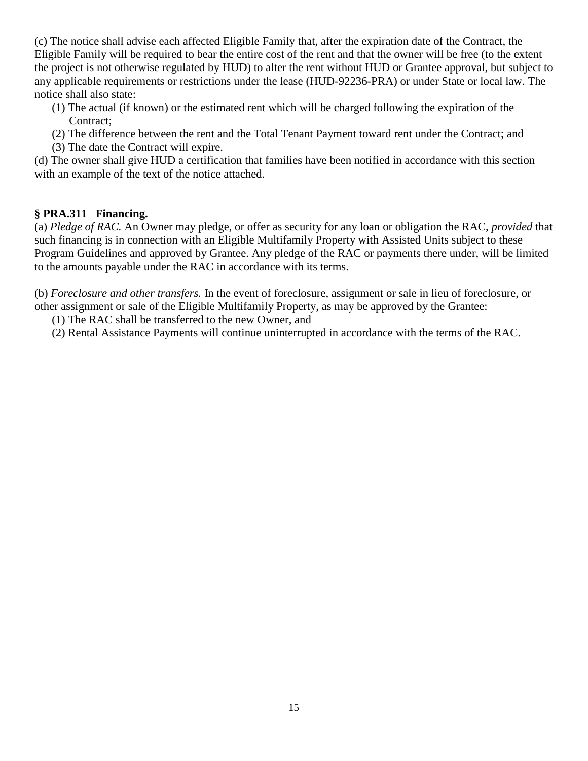(c) The notice shall advise each affected Eligible Family that, after the expiration date of the Contract, the Eligible Family will be required to bear the entire cost of the rent and that the owner will be free (to the extent the project is not otherwise regulated by HUD) to alter the rent without HUD or Grantee approval, but subject to any applicable requirements or restrictions under the lease (HUD-92236-PRA) or under State or local law. The notice shall also state:

- (1) The actual (if known) or the estimated rent which will be charged following the expiration of the Contract:
- (2) The difference between the rent and the Total Tenant Payment toward rent under the Contract; and
- (3) The date the Contract will expire.

(d) The owner shall give HUD a certification that families have been notified in accordance with this section with an example of the text of the notice attached.

# **§ PRA.311 Financing.**

(a) *Pledge of RAC.* An Owner may pledge, or offer as security for any loan or obligation the RAC, *provided* that such financing is in connection with an Eligible Multifamily Property with Assisted Units subject to these Program Guidelines and approved by Grantee. Any pledge of the RAC or payments there under, will be limited to the amounts payable under the RAC in accordance with its terms.

(b) *Foreclosure and other transfers.* In the event of foreclosure, assignment or sale in lieu of foreclosure, or other assignment or sale of the Eligible Multifamily Property, as may be approved by the Grantee:

(1) The RAC shall be transferred to the new Owner, and

(2) Rental Assistance Payments will continue uninterrupted in accordance with the terms of the RAC.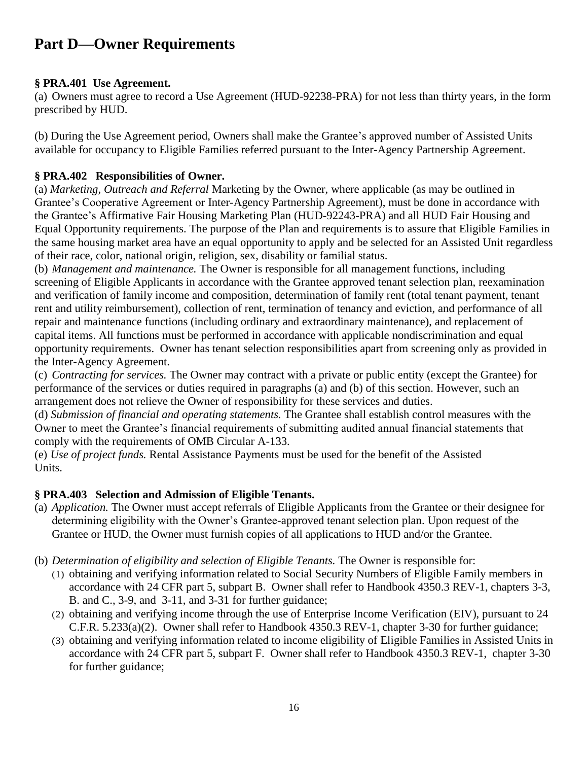# **Part D—Owner Requirements**

#### **§ PRA.401 Use Agreement.**

(a) Owners must agree to record a Use Agreement (HUD-92238-PRA) for not less than thirty years, in the form prescribed by HUD.

(b) During the Use Agreement period, Owners shall make the Grantee's approved number of Assisted Units available for occupancy to Eligible Families referred pursuant to the Inter-Agency Partnership Agreement.

### **§ PRA.402 Responsibilities of Owner.**

(a) *Marketing, Outreach and Referral* Marketing by the Owner, where applicable (as may be outlined in Grantee's Cooperative Agreement or Inter-Agency Partnership Agreement), must be done in accordance with the Grantee's Affirmative Fair Housing Marketing Plan (HUD-92243-PRA) and all HUD Fair Housing and Equal Opportunity requirements. The purpose of the Plan and requirements is to assure that Eligible Families in the same housing market area have an equal opportunity to apply and be selected for an Assisted Unit regardless of their race, color, national origin, religion, sex, disability or familial status.

(b) *Management and maintenance.* The Owner is responsible for all management functions, including screening of Eligible Applicants in accordance with the Grantee approved tenant selection plan, reexamination and verification of family income and composition, determination of family rent (total tenant payment, tenant rent and utility reimbursement), collection of rent, termination of tenancy and eviction, and performance of all repair and maintenance functions (including ordinary and extraordinary maintenance), and replacement of capital items. All functions must be performed in accordance with applicable nondiscrimination and equal opportunity requirements. Owner has tenant selection responsibilities apart from screening only as provided in the Inter-Agency Agreement.

(c) *Contracting for services.* The Owner may contract with a private or public entity (except the Grantee) for performance of the services or duties required in paragraphs (a) and (b) of this section. However, such an arrangement does not relieve the Owner of responsibility for these services and duties.

(d) *Submission of financial and operating statements.* The Grantee shall establish control measures with the Owner to meet the Grantee's financial requirements of submitting audited annual financial statements that comply with the requirements of OMB Circular A-133.

(e) *Use of project funds.* Rental Assistance Payments must be used for the benefit of the Assisted Units.

# **§ PRA.403 Selection and Admission of Eligible Tenants.**

- (a) *Application.* The Owner must accept referrals of Eligible Applicants from the Grantee or their designee for determining eligibility with the Owner's Grantee-approved tenant selection plan. Upon request of the Grantee or HUD, the Owner must furnish copies of all applications to HUD and/or the Grantee.
- (b) *Determination of eligibility and selection of Eligible Tenants.* The Owner is responsible for:
	- (1) obtaining and verifying information related to Social Security Numbers of Eligible Family members in accordance with 24 CFR part 5, subpart B. Owner shall refer to Handbook 4350.3 REV-1, chapters 3-3, B. and C., 3-9, and 3-11, and 3-31 for further guidance;
	- (2) obtaining and verifying income through the use of Enterprise Income Verification (EIV), pursuant to 24 C.F.R. 5.233(a)(2). Owner shall refer to Handbook 4350.3 REV-1, chapter 3-30 for further guidance;
	- (3) obtaining and verifying information related to income eligibility of Eligible Families in Assisted Units in accordance with 24 CFR part 5, subpart F. Owner shall refer to Handbook 4350.3 REV-1, chapter 3-30 for further guidance;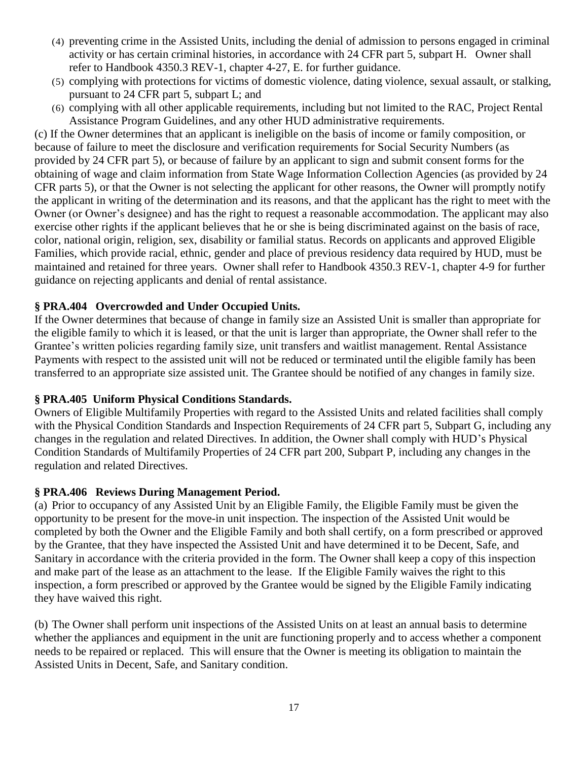- (4) preventing crime in the Assisted Units, including the denial of admission to persons engaged in criminal activity or has certain criminal histories, in accordance with 24 CFR part 5, subpart H. Owner shall refer to Handbook 4350.3 REV-1, chapter 4-27, E. for further guidance.
- (5) complying with protections for victims of domestic violence, dating violence, sexual assault, or stalking, pursuant to 24 CFR part 5, subpart L; and
- (6) complying with all other applicable requirements, including but not limited to the RAC, Project Rental Assistance Program Guidelines, and any other HUD administrative requirements.

(c) If the Owner determines that an applicant is ineligible on the basis of income or family composition, or because of failure to meet the disclosure and verification requirements for Social Security Numbers (as provided by 24 CFR part 5), or because of failure by an applicant to sign and submit consent forms for the obtaining of wage and claim information from State Wage Information Collection Agencies (as provided by 24 CFR parts 5), or that the Owner is not selecting the applicant for other reasons, the Owner will promptly notify the applicant in writing of the determination and its reasons, and that the applicant has the right to meet with the Owner (or Owner's designee) and has the right to request a reasonable accommodation. The applicant may also exercise other rights if the applicant believes that he or she is being discriminated against on the basis of race, color, national origin, religion, sex, disability or familial status. Records on applicants and approved Eligible Families, which provide racial, ethnic, gender and place of previous residency data required by HUD, must be maintained and retained for three years. Owner shall refer to Handbook 4350.3 REV-1, chapter 4-9 for further guidance on rejecting applicants and denial of rental assistance.

#### **§ PRA.404 Overcrowded and Under Occupied Units.**

If the Owner determines that because of change in family size an Assisted Unit is smaller than appropriate for the eligible family to which it is leased, or that the unit is larger than appropriate, the Owner shall refer to the Grantee's written policies regarding family size, unit transfers and waitlist management. Rental Assistance Payments with respect to the assisted unit will not be reduced or terminated until the eligible family has been transferred to an appropriate size assisted unit. The Grantee should be notified of any changes in family size.

#### **§ PRA.405 Uniform Physical Conditions Standards.**

Owners of Eligible Multifamily Properties with regard to the Assisted Units and related facilities shall comply with the Physical Condition Standards and Inspection Requirements of 24 CFR part 5, Subpart G, including any changes in the regulation and related Directives. In addition, the Owner shall comply with HUD's Physical Condition Standards of Multifamily Properties of 24 CFR part 200, Subpart P, including any changes in the regulation and related Directives.

#### **§ PRA.406 Reviews During Management Period.**

(a) Prior to occupancy of any Assisted Unit by an Eligible Family, the Eligible Family must be given the opportunity to be present for the move-in unit inspection. The inspection of the Assisted Unit would be completed by both the Owner and the Eligible Family and both shall certify, on a form prescribed or approved by the Grantee, that they have inspected the Assisted Unit and have determined it to be Decent, Safe, and Sanitary in accordance with the criteria provided in the form. The Owner shall keep a copy of this inspection and make part of the lease as an attachment to the lease. If the Eligible Family waives the right to this inspection, a form prescribed or approved by the Grantee would be signed by the Eligible Family indicating they have waived this right.

(b) The Owner shall perform unit inspections of the Assisted Units on at least an annual basis to determine whether the appliances and equipment in the unit are functioning properly and to access whether a component needs to be repaired or replaced. This will ensure that the Owner is meeting its obligation to maintain the Assisted Units in Decent, Safe, and Sanitary condition.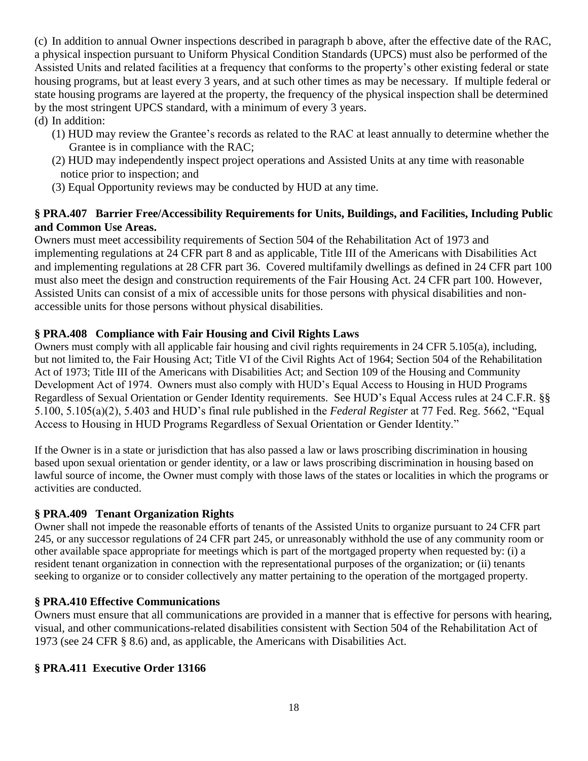(c) In addition to annual Owner inspections described in paragraph b above, after the effective date of the RAC, a physical inspection pursuant to Uniform Physical Condition Standards (UPCS) must also be performed of the Assisted Units and related facilities at a frequency that conforms to the property's other existing federal or state housing programs, but at least every 3 years, and at such other times as may be necessary. If multiple federal or state housing programs are layered at the property, the frequency of the physical inspection shall be determined by the most stringent UPCS standard, with a minimum of every 3 years.

- (d) In addition:
	- (1) HUD may review the Grantee's records as related to the RAC at least annually to determine whether the Grantee is in compliance with the RAC;
	- (2) HUD may independently inspect project operations and Assisted Units at any time with reasonable notice prior to inspection; and
	- (3) Equal Opportunity reviews may be conducted by HUD at any time.

### **§ PRA.407 Barrier Free/Accessibility Requirements for Units, Buildings, and Facilities, Including Public and Common Use Areas.**

Owners must meet accessibility requirements of Section 504 of the Rehabilitation Act of 1973 and implementing regulations at 24 CFR part 8 and as applicable, Title III of the Americans with Disabilities Act and implementing regulations at 28 CFR part 36. Covered multifamily dwellings as defined in 24 CFR part 100 must also meet the design and construction requirements of the Fair Housing Act. 24 CFR part 100. However, Assisted Units can consist of a mix of accessible units for those persons with physical disabilities and nonaccessible units for those persons without physical disabilities.

### **§ PRA.408 Compliance with Fair Housing and Civil Rights Laws**

Owners must comply with all applicable fair housing and civil rights requirements in 24 CFR 5.105(a), including, but not limited to, the Fair Housing Act; Title VI of the Civil Rights Act of 1964; Section 504 of the Rehabilitation Act of 1973; Title III of the Americans with Disabilities Act; and Section 109 of the Housing and Community Development Act of 1974. Owners must also comply with HUD's Equal Access to Housing in HUD Programs Regardless of Sexual Orientation or Gender Identity requirements. See HUD's Equal Access rules at 24 C.F.R. §§ 5.100, 5.105(a)(2), 5.403 and HUD's final rule published in the *Federal Register* at 77 Fed. Reg. 5662, "Equal Access to Housing in HUD Programs Regardless of Sexual Orientation or Gender Identity."

If the Owner is in a state or jurisdiction that has also passed a law or laws proscribing discrimination in housing based upon sexual orientation or gender identity, or a law or laws proscribing discrimination in housing based on lawful source of income, the Owner must comply with those laws of the states or localities in which the programs or activities are conducted.

#### **§ PRA.409 Tenant Organization Rights**

Owner shall not impede the reasonable efforts of tenants of the Assisted Units to organize pursuant to 24 CFR part 245, or any successor regulations of 24 CFR part 245, or unreasonably withhold the use of any community room or other available space appropriate for meetings which is part of the mortgaged property when requested by: (i) a resident tenant organization in connection with the representational purposes of the organization; or (ii) tenants seeking to organize or to consider collectively any matter pertaining to the operation of the mortgaged property.

#### **§ PRA.410 Effective Communications**

Owners must ensure that all communications are provided in a manner that is effective for persons with hearing, visual, and other communications-related disabilities consistent with Section 504 of the Rehabilitation Act of 1973 (see 24 CFR § 8.6) and, as applicable, the Americans with Disabilities Act.

#### **§ PRA.411 Executive Order 13166**